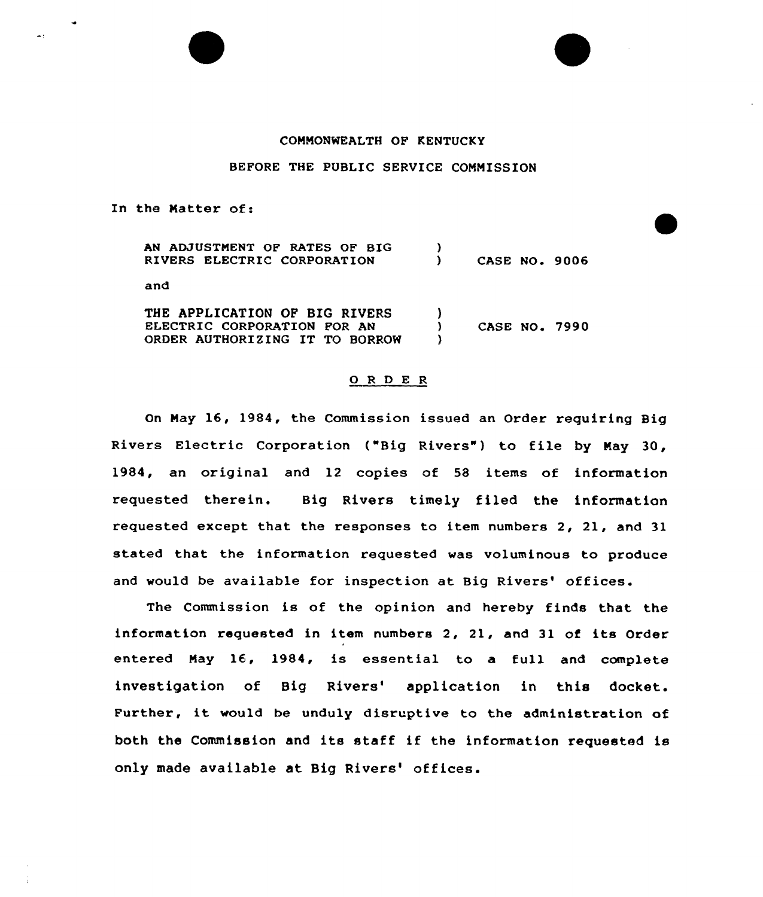## COMMONWEALTH OP KENTUCKY

## BEFORE THE PUBLIC SERVICE COMMISSION

In the Natter of:

| <b>AN ADJUSTMENT OF RATES OF BIG</b><br>RIVERS ELECTRIC CORPORATION                            | <b>CASE NO. 9006</b> |  |
|------------------------------------------------------------------------------------------------|----------------------|--|
| and                                                                                            |                      |  |
| THE APPLICATION OF BIG RIVERS<br>ELECTRIC CORPORATION FOR AN<br>ORDER AUTHORIZING IT TO BORROW | <b>CASE NO. 7990</b> |  |

## 0 R <sup>D</sup> E <sup>R</sup>

On May 16, 1984, the Commission issued an Order requiring Big Rivers Electric Corporation ("Big Rivers") to file by May 30, 1984, an original and 12 copies of 58 items of information requested therein. Big Rivers timely filed the information requested except that the responses to item numbers 2, 21, and 31 stated that the information requested was voluminous to produce and would be available for inspection at Big Rivers' offices.

The Commission is of the opinion and hereby finds that the information requested in item numbers 2, 21, and 31 of its Order entered May 16, 1984, is essential to a full and complete investigation of Big Rivers' application in this docket. Further, it would be unduly disruptive to the administration of both the Commission and its staff if the information requested is only made available at Big Rivers' offices.